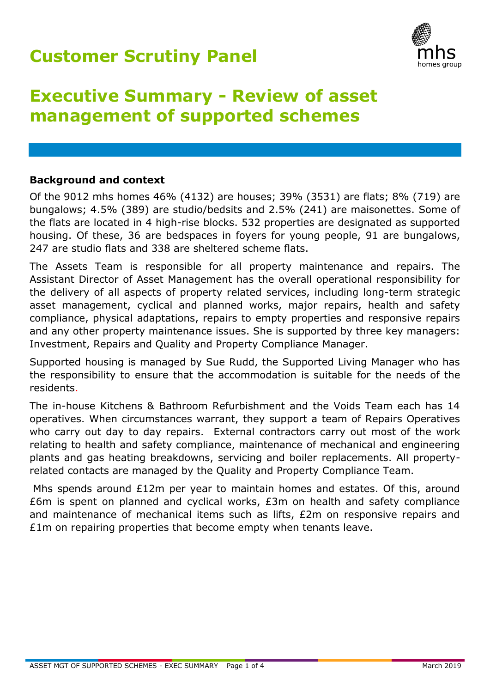## **Customer Scrutiny Panel**



# **Executive Summary - Review of asset management of supported schemes**

### **Background and context**

Of the 9012 mhs homes 46% (4132) are houses; 39% (3531) are flats; 8% (719) are bungalows; 4.5% (389) are studio/bedsits and 2.5% (241) are maisonettes. Some of the flats are located in 4 high-rise blocks. 532 properties are designated as supported housing. Of these, 36 are bedspaces in foyers for young people, 91 are bungalows, 247 are studio flats and 338 are sheltered scheme flats.

The Assets Team is responsible for all property maintenance and repairs. The Assistant Director of Asset Management has the overall operational responsibility for the delivery of all aspects of property related services, including long-term strategic asset management, cyclical and planned works, major repairs, health and safety compliance, physical adaptations, repairs to empty properties and responsive repairs and any other property maintenance issues. She is supported by three key managers: Investment, Repairs and Quality and Property Compliance Manager.

Supported housing is managed by Sue Rudd, the Supported Living Manager who has the responsibility to ensure that the accommodation is suitable for the needs of the residents.

The in-house Kitchens & Bathroom Refurbishment and the Voids Team each has 14 operatives. When circumstances warrant, they support a team of Repairs Operatives who carry out day to day repairs. External contractors carry out most of the work relating to health and safety compliance, maintenance of mechanical and engineering plants and gas heating breakdowns, servicing and boiler replacements. All propertyrelated contacts are managed by the Quality and Property Compliance Team.

Mhs spends around £12m per year to maintain homes and estates. Of this, around £6m is spent on planned and cyclical works, £3m on health and safety compliance and maintenance of mechanical items such as lifts, £2m on responsive repairs and £1m on repairing properties that become empty when tenants leave.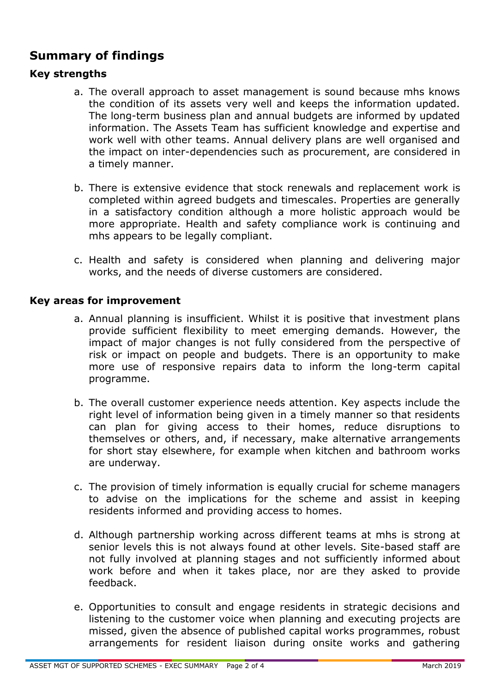### **Summary of findings**

### **Key strengths**

- a. The overall approach to asset management is sound because mhs knows the condition of its assets very well and keeps the information updated. The long-term business plan and annual budgets are informed by updated information. The Assets Team has sufficient knowledge and expertise and work well with other teams. Annual delivery plans are well organised and the impact on inter-dependencies such as procurement, are considered in a timely manner.
- b. There is extensive evidence that stock renewals and replacement work is completed within agreed budgets and timescales. Properties are generally in a satisfactory condition although a more holistic approach would be more appropriate. Health and safety compliance work is continuing and mhs appears to be legally compliant.
- c. Health and safety is considered when planning and delivering major works, and the needs of diverse customers are considered.

#### **Key areas for improvement**

- a. Annual planning is insufficient. Whilst it is positive that investment plans provide sufficient flexibility to meet emerging demands. However, the impact of major changes is not fully considered from the perspective of risk or impact on people and budgets. There is an opportunity to make more use of responsive repairs data to inform the long-term capital programme.
- b. The overall customer experience needs attention. Key aspects include the right level of information being given in a timely manner so that residents can plan for giving access to their homes, reduce disruptions to themselves or others, and, if necessary, make alternative arrangements for short stay elsewhere, for example when kitchen and bathroom works are underway.
- c. The provision of timely information is equally crucial for scheme managers to advise on the implications for the scheme and assist in keeping residents informed and providing access to homes.
- d. Although partnership working across different teams at mhs is strong at senior levels this is not always found at other levels. Site-based staff are not fully involved at planning stages and not sufficiently informed about work before and when it takes place, nor are they asked to provide feedback.
- e. Opportunities to consult and engage residents in strategic decisions and listening to the customer voice when planning and executing projects are missed, given the absence of published capital works programmes, robust arrangements for resident liaison during onsite works and gathering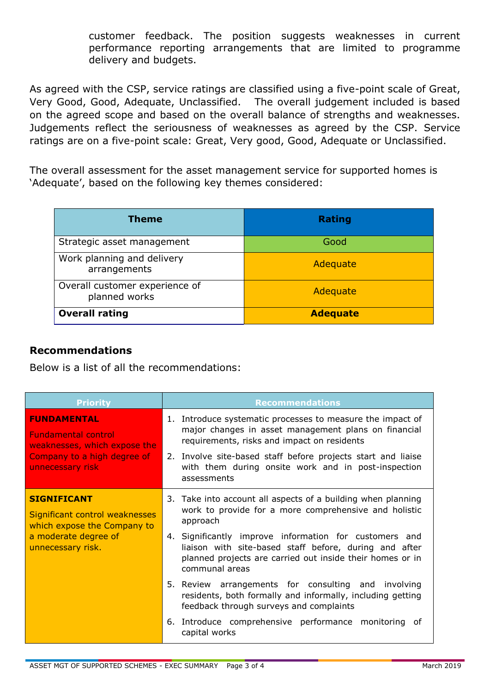customer feedback. The position suggests weaknesses in current performance reporting arrangements that are limited to programme delivery and budgets.

As agreed with the CSP, service ratings are classified using a five-point scale of Great, Very Good, Good, Adequate, Unclassified. The overall judgement included is based on the agreed scope and based on the overall balance of strengths and weaknesses. Judgements reflect the seriousness of weaknesses as agreed by the CSP. Service ratings are on a five-point scale: Great, Very good, Good, Adequate or Unclassified.

The overall assessment for the asset management service for supported homes is 'Adequate', based on the following key themes considered:

| <b>Theme</b>                                    | <b>Rating</b>   |
|-------------------------------------------------|-----------------|
| Strategic asset management                      | Good            |
| Work planning and delivery<br>arrangements      | Adequate        |
| Overall customer experience of<br>planned works | Adequate        |
| <b>Overall rating</b>                           | <b>Adequate</b> |

### **Recommendations**

Below is a list of all the recommendations:

| <b>Priority</b>                                                                                                                     | <b>Recommendations</b>                                                                                                                                                                          |
|-------------------------------------------------------------------------------------------------------------------------------------|-------------------------------------------------------------------------------------------------------------------------------------------------------------------------------------------------|
| <b>FUNDAMENTAL</b><br><b>Fundamental control</b><br>weaknesses, which expose the<br>Company to a high degree of<br>unnecessary risk | 1. Introduce systematic processes to measure the impact of<br>major changes in asset management plans on financial<br>requirements, risks and impact on residents                               |
|                                                                                                                                     | 2. Involve site-based staff before projects start and liaise<br>with them during onsite work and in post-inspection<br>assessments                                                              |
| <b>SIGNIFICANT</b><br>Significant control weaknesses<br>which expose the Company to<br>a moderate degree of<br>unnecessary risk.    | 3. Take into account all aspects of a building when planning<br>work to provide for a more comprehensive and holistic<br>approach                                                               |
|                                                                                                                                     | 4. Significantly improve information for customers and<br>liaison with site-based staff before, during and after<br>planned projects are carried out inside their homes or in<br>communal areas |
|                                                                                                                                     | 5. Review arrangements for consulting and involving<br>residents, both formally and informally, including getting<br>feedback through surveys and complaints                                    |
|                                                                                                                                     | 6. Introduce comprehensive performance monitoring of<br>capital works                                                                                                                           |